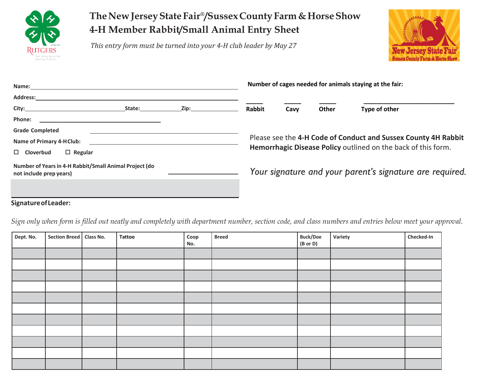

## **TheNewJerseyStateFair®/SussexCountyFarm&HorseShow 4-H Member Rabbit/Small Animal Entry Sheet**

*This entry form must be turned into your 4-H club leader by May 27*



| Name:                                                                             |        | Number of cages needed for animals staying at the fair: |                                                                |      |       |               |  |  |
|-----------------------------------------------------------------------------------|--------|---------------------------------------------------------|----------------------------------------------------------------|------|-------|---------------|--|--|
| <b>Address:</b>                                                                   |        |                                                         |                                                                |      |       |               |  |  |
| City:                                                                             | State: | Zip:                                                    | <b>Rabbit</b>                                                  | Cavy | Other | Type of other |  |  |
| Phone:                                                                            |        |                                                         |                                                                |      |       |               |  |  |
| <b>Grade Completed</b>                                                            |        |                                                         |                                                                |      |       |               |  |  |
| <b>Name of Primary 4-H Club:</b>                                                  |        |                                                         | Please see the 4-H Code of Conduct and Sussex County 4H Rabbit |      |       |               |  |  |
| $\Box$ Regular<br><b>Cloverbud</b>                                                |        |                                                         | Hemorrhagic Disease Policy outlined on the back of this form.  |      |       |               |  |  |
| Number of Years in 4-H Rabbit/Small Animal Project (do<br>not include prep years) |        |                                                         | Your signature and your parent's signature are required.       |      |       |               |  |  |
|                                                                                   |        |                                                         |                                                                |      |       |               |  |  |

**SignatureofLeader:**

*Sign only when form is filled out neatly and completely with department number, section code, and class numbers and entries below meet your approval.*

| Dept. No. | Section Breed   Class No. | Tattoo | Coop<br>No. | <b>Breed</b> | <b>Buck/Doe</b><br>(B or D) | Variety | Checked-In |
|-----------|---------------------------|--------|-------------|--------------|-----------------------------|---------|------------|
|           |                           |        |             |              |                             |         |            |
|           |                           |        |             |              |                             |         |            |
|           |                           |        |             |              |                             |         |            |
|           |                           |        |             |              |                             |         |            |
|           |                           |        |             |              |                             |         |            |
|           |                           |        |             |              |                             |         |            |
|           |                           |        |             |              |                             |         |            |
|           |                           |        |             |              |                             |         |            |
|           |                           |        |             |              |                             |         |            |
|           |                           |        |             |              |                             |         |            |
|           |                           |        |             |              |                             |         |            |